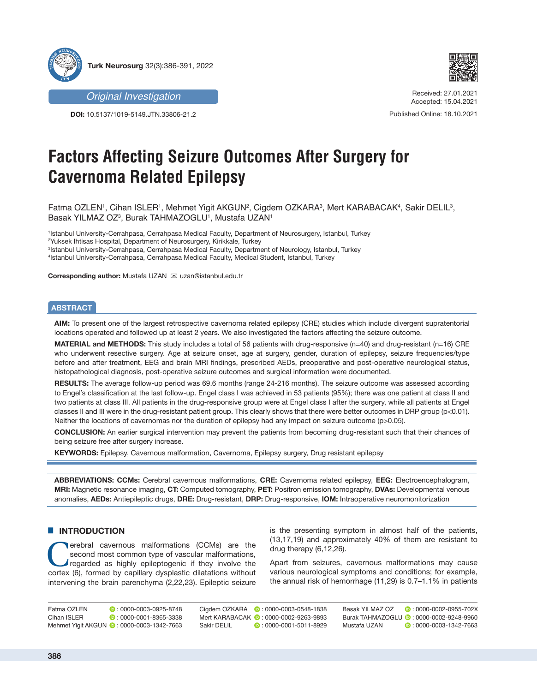



**DOI:** 10.5137/1019-5149.JTN.33806-21.2



Received: 27.01.2021 Accepted: 15.04.2021

Published Online: 18.10.2021

# **Factors Affecting Seizure Outcomes After Surgery for Cavernoma Related Epilepsy**

Fatma OZLEN', Cihan ISLER', Mehmet Yigit AKGUN<sup>2</sup>, Cigdem OZKARA<sup>3</sup>, Mert KARABACAK<sup>4</sup>, Sakir DELIL<sup>3</sup>, Basak YILMAZ OZ<sup>3</sup>, Burak TAHMAZOGLU', Mustafa UZAN'

 Istanbul University-Cerrahpasa, Cerrahpasa Medical Faculty, Department of Neurosurgery, Istanbul, Turkey Yuksek Ihtisas Hospital, Department of Neurosurgery, Kirikkale, Turkey Istanbul University-Cerrahpasa, Cerrahpasa Medical Faculty, Department of Neurology, Istanbul, Turkey Istanbul University-Cerrahpasa, Cerrahpasa Medical Faculty, Medical Student, Istanbul, Turkey

**Corresponding author: Mustafa UZAN ⊠ uzan@istanbul.edu.tr** 

## **ABSTRACT**

**AIM:** To present one of the largest retrospective cavernoma related epilepsy (CRE) studies which include divergent supratentorial locations operated and followed up at least 2 years. We also investigated the factors affecting the seizure outcome.

**MATERIAL and METHODS:** This study includes a total of 56 patients with drug-responsive (n=40) and drug-resistant (n=16) CRE who underwent resective surgery. Age at seizure onset, age at surgery, gender, duration of epilepsy, seizure frequencies/type before and after treatment, EEG and brain MRI findings, prescribed AEDs, preoperative and post-operative neurological status, histopathological diagnosis, post-operative seizure outcomes and surgical information were documented.

**RESULTS:** The average follow-up period was 69.6 months (range 24-216 months). The seizure outcome was assessed according to Engel's classification at the last follow-up. Engel class I was achieved in 53 patients (95%); there was one patient at class II and two patients at class III. All patients in the drug-responsive group were at Engel class I after the surgery, while all patients at Engel classes II and III were in the drug-resistant patient group. This clearly shows that there were better outcomes in DRP group (p<0.01). Neither the locations of cavernomas nor the duration of epilepsy had any impact on seizure outcome (p>0.05).

**CONCLUSION:** An earlier surgical intervention may prevent the patients from becoming drug-resistant such that their chances of being seizure free after surgery increase.

**KEYWORDS:** Epilepsy, Cavernous malformation, Cavernoma, Epilepsy surgery, Drug resistant epilepsy

**ABBREVIATIONS: CCMs:** Cerebral cavernous malformations, **CRE:** Cavernoma related epilepsy, **EEG:** Electroencephalogram, **MRI:** Magnetic resonance imaging, **CT:** Computed tomography, **PET:** Positron emission tomography, **DVAs:** Developmental venous anomalies, **AEDs:** Antiepileptic drugs, **DRE:** Drug-resistant, **DRP:** Drug-responsive, **IOM:** Intraoperative neuromonitorization

#### $\blacksquare$  **INTRODUCTION**

**CEMS** erebral cavernous malformations (CCMs) are the second most common type of vascular malformations, regarded as highly epileptogenic if they involve the cortex (6) formed by capillary dysplastic dilatations without second most common type of vascular malformations, cortex (6), formed by capillary dysplastic dilatations without intervening the brain parenchyma (2,22,23). Epileptic seizure

is the presenting symptom in almost half of the patients, (13,17,19) and approximately 40% of them are resistant to drug therapy (6,12,26).

Apart from seizures, cavernous malformations may cause various neurological symptoms and conditions; for example, the annual risk of hemorrhage (11,29) is 0.7–1.1% in patients

| Fatma OZLEN | $\blacksquare$ : 0000-0003-0925-8748      | Ciadem OZKARA | $\bullet$ : 0000-0003-0548-1838         | Basak YILMAZ OZ | $\blacksquare$ : 0000-0002-0955-702X     |
|-------------|-------------------------------------------|---------------|-----------------------------------------|-----------------|------------------------------------------|
| Cihan ISLER | $\blacksquare$ : 0000-0001-8365-3338      |               | Mert KARABACAK (D: 0000-0002-9263-9893) |                 | Burak TAHMAZOGLU ( : 0000-0002-9248-9960 |
|             | Mehmet Yigit AKGUN (2:0000-0003-1342-7663 | Sakir DELIL   | $\triangleright$ : 0000-0001-5011-8929  | Mustafa UZAN    | $\bullet$ : 0000-0003-1342-7663          |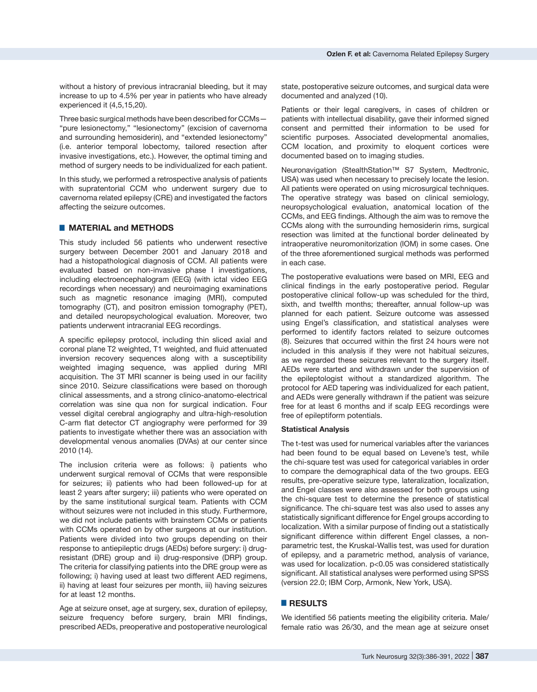Three basic surgical methods have been described for CCMs— "pure lesionectomy," "lesionectomy" (excision of cavernoma and surrounding hemosiderin), and "extended lesionectomy" (i.e. anterior temporal lobectomy, tailored resection after invasive investigations, etc.). However, the optimal timing and method of surgery needs to be individualized for each patient.

In this study, we performed a retrospective analysis of patients with supratentorial CCM who underwent surgery due to cavernoma related epilepsy (CRE) and investigated the factors affecting the seizure outcomes.

## █ **MATERIAL and METHODS**

This study included 56 patients who underwent resective surgery between December 2001 and January 2018 and had a histopathological diagnosis of CCM. All patients were evaluated based on non-invasive phase I investigations, including electroencephalogram (EEG) (with ictal video EEG recordings when necessary) and neuroimaging examinations such as magnetic resonance imaging (MRI), computed tomography (CT), and positron emission tomography (PET), and detailed neuropsychological evaluation. Moreover, two patients underwent intracranial EEG recordings.

A specific epilepsy protocol, including thin sliced axial and coronal plane T2 weighted, T1 weighted, and fluid attenuated inversion recovery sequences along with a susceptibility weighted imaging sequence, was applied during MRI acquisition. The 3T MRI scanner is being used in our facility since 2010. Seizure classifications were based on thorough clinical assessments, and a strong clinico-anatomo-electrical correlation was sine qua non for surgical indication. Four vessel digital cerebral angiography and ultra-high-resolution C-arm flat detector CT angiography were performed for 39 patients to investigate whether there was an association with developmental venous anomalies (DVAs) at our center since 2010 (14).

The inclusion criteria were as follows: i) patients who underwent surgical removal of CCMs that were responsible for seizures; ii) patients who had been followed-up for at least 2 years after surgery; iii) patients who were operated on by the same institutional surgical team. Patients with CCM without seizures were not included in this study. Furthermore, we did not include patients with brainstem CCMs or patients with CCMs operated on by other surgeons at our institution. Patients were divided into two groups depending on their response to antiepileptic drugs (AEDs) before surgery: i) drugresistant (DRE) group and ii) drug-responsive (DRP) group. The criteria for classifying patients into the DRE group were as following; i) having used at least two different AED regimens, ii) having at least four seizures per month, iii) having seizures for at least 12 months.

Age at seizure onset, age at surgery, sex, duration of epilepsy, seizure frequency before surgery, brain MRI findings, prescribed AEDs, preoperative and postoperative neurological state, postoperative seizure outcomes, and surgical data were documented and analyzed (10).

Patients or their legal caregivers, in cases of children or patients with intellectual disability, gave their informed signed consent and permitted their information to be used for scientific purposes. Associated developmental anomalies, CCM location, and proximity to eloquent cortices were documented based on to imaging studies.

Neuronavigation (StealthStation™ S7 System, Medtronic, USA) was used when necessary to precisely locate the lesion. All patients were operated on using microsurgical techniques. The operative strategy was based on clinical semiology, neuropsychological evaluation, anatomical location of the CCMs, and EEG findings. Although the aim was to remove the CCMs along with the surrounding hemosiderin rims, surgical resection was limited at the functional border delineated by intraoperative neuromonitorization (IOM) in some cases. One of the three aforementioned surgical methods was performed in each case.

The postoperative evaluations were based on MRI, EEG and clinical findings in the early postoperative period. Regular postoperative clinical follow-up was scheduled for the third, sixth, and twelfth months; thereafter, annual follow-up was planned for each patient. Seizure outcome was assessed using Engel's classification, and statistical analyses were performed to identify factors related to seizure outcomes (8). Seizures that occurred within the first 24 hours were not included in this analysis if they were not habitual seizures, as we regarded these seizures relevant to the surgery itself. AEDs were started and withdrawn under the supervision of the epileptologist without a standardized algorithm. The protocol for AED tapering was individualized for each patient, and AEDs were generally withdrawn if the patient was seizure free for at least 6 months and if scalp EEG recordings were free of epileptiform potentials.

#### **Statistical Analysis**

The t-test was used for numerical variables after the variances had been found to be equal based on Levene's test, while the chi-square test was used for categorical variables in order to compare the demographical data of the two groups. EEG results, pre-operative seizure type, lateralization, localization, and Engel classes were also assessed for both groups using the chi-square test to determine the presence of statistical significance. The chi-square test was also used to asses any statistically significant difference for Engel groups according to localization. With a similar purpose of finding out a statistically significant difference within different Engel classes, a nonparametric test, the Kruskal-Wallis test, was used for duration of epilepsy, and a parametric method, analysis of variance, was used for localization. p<0.05 was considered statistically significant. All statistical analyses were performed using SPSS (version 22.0; IBM Corp, Armonk, New York, USA).

## █ **RESULTS**

We identified 56 patients meeting the eligibility criteria. Male/ female ratio was 26/30, and the mean age at seizure onset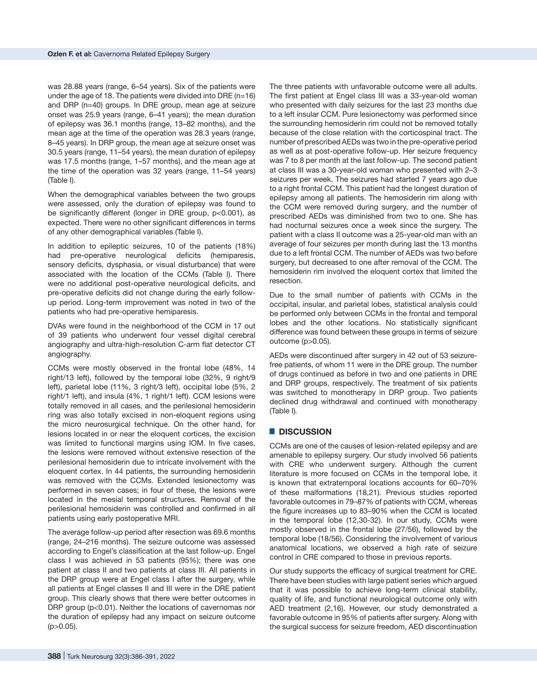was 28.88 years (range, 6–54 years). Six of the patients were under the age of 18. The patients were divided into DRE  $(n=16)$ and DRP (n=40) groups. In DRE group, mean age at seizure onset was 25.9 years (range, 6–41 years); the mean duration of epilepsy was 36.1 months (range, 13–82 months), and the mean age at the time of the operation was 28.3 years (range, 8–45 years). In DRP group, the mean age at seizure onset was 30.5 years (range, 11–54 years), the mean duration of epilepsy was 17.5 months (range, 1–57 months), and the mean age at the time of the operation was 32 years (range, 11–54 years) (Table I).

When the demographical variables between the two groups were assessed, only the duration of epilepsy was found to be significantly different (longer in DRE group, p<0.001), as expected. There were no other significant differences in terms of any other demographical variables (Table I).

In addition to epileptic seizures, 10 of the patients (18%) had pre-operative neurological deficits (hemiparesis, sensory deficits, dysphasia, or visual disturbance) that were associated with the location of the CCMs (Table I). There were no additional post-operative neurological deficits, and pre-operative deficits did not change during the early followup period. Long-term improvement was noted in two of the patients who had pre-operative hemiparesis.

DVAs were found in the neighborhood of the CCM in 17 out of 39 patients who underwent four vessel digital cerebral angiography and ultra-high-resolution C-arm flat detector CT angiography.

CCMs were mostly observed in the frontal lobe (48%, 14 right/13 left), followed by the temporal lobe (32%, 9 right/9 left), parietal lobe (11%, 3 right/3 left), occipital lobe (5%, 2 right/1 left), and insula (4%, 1 right/1 left). CCM lesions were totally removed in all cases, and the perilesional hemosiderin ring was also totally excised in non-eloquent regions using the micro neurosurgical technique. On the other hand, for lesions located in or near the eloquent cortices, the excision was limited to functional margins using IOM. In five cases, the lesions were removed without extensive resection of the perilesional hemosiderin due to intricate involvement with the eloquent cortex. In 44 patients, the surrounding hemosiderin was removed with the CCMs. Extended lesionectomy was performed in seven cases; in four of these, the lesions were located in the mesial temporal structures. Removal of the perilesional hemosiderin was controlled and confirmed in all patients using early postoperative MRI.

The average follow-up period after resection was 69.6 months (range, 24–216 months). The seizure outcome was assessed according to Engel's classification at the last follow-up. Engel class I was achieved in 53 patients (95%); there was one patient at class II and two patients at class III. All patients in the DRP group were at Engel class I after the surgery, while all patients at Engel classes II and III were in the DRE patient group. This clearly shows that there were better outcomes in DRP group (p<0.01). Neither the locations of cavernomas nor the duration of epilepsy had any impact on seizure outcome  $(p > 0.05)$ .

The three patients with unfavorable outcome were all adults. The first patient at Engel class III was a 33-year-old woman who presented with daily seizures for the last 23 months due to a left insular CCM. Pure lesionectomy was performed since the surrounding hemosiderin rim could not be removed totally because of the close relation with the corticospinal tract. The number of prescribed AEDs was two in the pre-operative period as well as at post-operative follow-up. Her seizure frequency was 7 to 8 per month at the last follow-up. The second patient at class III was a 30-year-old woman who presented with 2–3 seizures per week. The seizures had started 7 years ago due to a right frontal CCM. This patient had the longest duration of epilepsy among all patients. The hemosiderin rim along with the CCM were removed during surgery, and the number of prescribed AEDs was diminished from two to one. She has had nocturnal seizures once a week since the surgery. The patient with a class II outcome was a 25-year-old man with an average of four seizures per month during last the 13 months due to a left frontal CCM. The number of AEDs was two before surgery, but decreased to one after removal of the CCM. The hemosiderin rim involved the eloquent cortex that limited the resection.

Due to the small number of patients with CCMs in the occipital, insular, and parietal lobes, statistical analysis could be performed only between CCMs in the frontal and temporal lobes and the other locations. No statistically significant difference was found between these groups in terms of seizure outcome (p>0.05).

AEDs were discontinued after surgery in 42 out of 53 seizurefree patients, of whom 11 were in the DRE group. The number of drugs continued as before in two and one patients in DRE and DRP groups, respectively. The treatment of six patients was switched to monotherapy in DRP group. Two patients declined drug withdrawal and continued with monotherapy (Table I)*.* 

## █ **DISCUSSION**

CCMs are one of the causes of lesion-related epilepsy and are amenable to epilepsy surgery. Our study involved 56 patients with CRE who underwent surgery. Although the current literature is more focused on CCMs in the temporal lobe, it is known that extratemporal locations accounts for 60–70% of these malformations (18,21). Previous studies reported favorable outcomes in 79–87% of patients with CCM, whereas the figure increases up to 83–90% when the CCM is located in the temporal lobe (12,30-32). In our study, CCMs were mostly observed in the frontal lobe (27/56), followed by the temporal lobe (18/56). Considering the involvement of various anatomical locations, we observed a high rate of seizure control in CRE compared to those in previous reports.

Our study supports the efficacy of surgical treatment for CRE. There have been studies with large patient series which argued that it was possible to achieve long-term clinical stability, quality of life, and functional neurological outcome only with AED treatment (2,16). However, our study demonstrated a favorable outcome in 95% of patients after surgery. Along with the surgical success for seizure freedom, AED discontinuation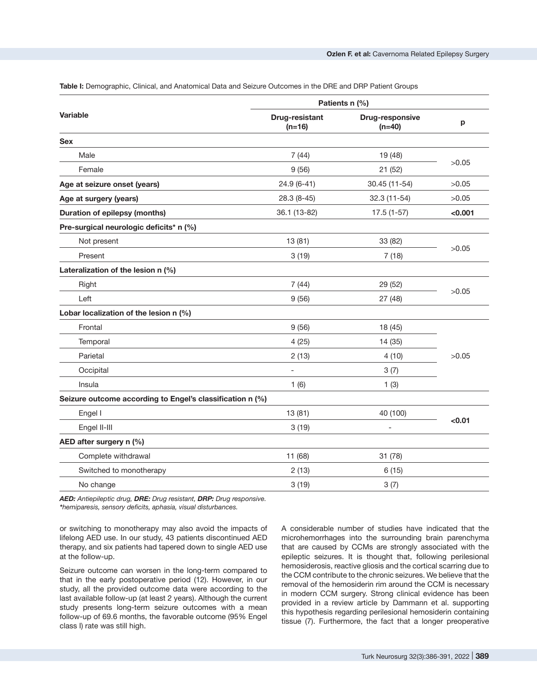|                                                           | Patients n (%)             |                             |         |  |
|-----------------------------------------------------------|----------------------------|-----------------------------|---------|--|
| <b>Variable</b>                                           | Drug-resistant<br>$(n=16)$ | Drug-responsive<br>$(n=40)$ | p       |  |
| <b>Sex</b>                                                |                            |                             |         |  |
| Male                                                      | 7(44)                      | 19 (48)                     |         |  |
| Female                                                    | 9(56)                      | 21 (52)                     | >0.05   |  |
| Age at seizure onset (years)                              | $24.9(6-41)$               | 30.45 (11-54)               | >0.05   |  |
| Age at surgery (years)                                    | $28.3(8-45)$               | 32.3 (11-54)                | >0.05   |  |
| <b>Duration of epilepsy (months)</b>                      | 36.1 (13-82)               | $17.5(1-57)$                | < 0.001 |  |
| Pre-surgical neurologic deficits* n (%)                   |                            |                             |         |  |
| Not present                                               | 13 (81)                    | 33 (82)                     |         |  |
| Present                                                   | 3(19)                      | 7(18)                       | >0.05   |  |
| Lateralization of the lesion n (%)                        |                            |                             |         |  |
| Right                                                     | 7(44)                      | 29 (52)                     |         |  |
| Left                                                      | 9(56)                      | 27 (48)                     | >0.05   |  |
| Lobar localization of the lesion n (%)                    |                            |                             |         |  |
| Frontal                                                   | 9(56)                      | 18 (45)                     | >0.05   |  |
| Temporal                                                  | 4(25)                      | 14(35)                      |         |  |
| Parietal                                                  | 2(13)                      | 4(10)                       |         |  |
| Occipital                                                 | $\overline{a}$             | 3(7)                        |         |  |
| Insula                                                    | 1(6)                       | 1(3)                        |         |  |
| Seizure outcome according to Engel's classification n (%) |                            |                             |         |  |
| Engel I                                                   | 13(81)                     | 40 (100)                    |         |  |
| Engel II-III                                              | 3(19)                      |                             | < 0.01  |  |
| AED after surgery n (%)                                   |                            |                             |         |  |
| Complete withdrawal                                       | 11 (68)                    | 31 (78)                     |         |  |
| Switched to monotherapy                                   | 2(13)                      | 6(15)                       |         |  |
| No change                                                 | 3(19)                      | 3(7)                        |         |  |

**Table I:** Demographic, Clinical, and Anatomical Data and Seizure Outcomes in the DRE and DRP Patient Groups

*AED: Antiepileptic drug, DRE: Drug resistant, DRP: Drug responsive. \*hemiparesis, sensory deficits, aphasia, visual disturbances.*

or switching to monotherapy may also avoid the impacts of lifelong AED use. In our study, 43 patients discontinued AED therapy, and six patients had tapered down to single AED use at the follow-up.

Seizure outcome can worsen in the long-term compared to that in the early postoperative period (12). However, in our study, all the provided outcome data were according to the last available follow-up (at least 2 years). Although the current study presents long-term seizure outcomes with a mean follow-up of 69.6 months, the favorable outcome (95% Engel class I) rate was still high.

A considerable number of studies have indicated that the microhemorrhages into the surrounding brain parenchyma that are caused by CCMs are strongly associated with the epileptic seizures. It is thought that, following perilesional hemosiderosis, reactive gliosis and the cortical scarring due to the CCM contribute to the chronic seizures. We believe that the removal of the hemosiderin rim around the CCM is necessary in modern CCM surgery. Strong clinical evidence has been provided in a review article by Dammann et al. supporting this hypothesis regarding perilesional hemosiderin containing tissue (7). Furthermore, the fact that a longer preoperative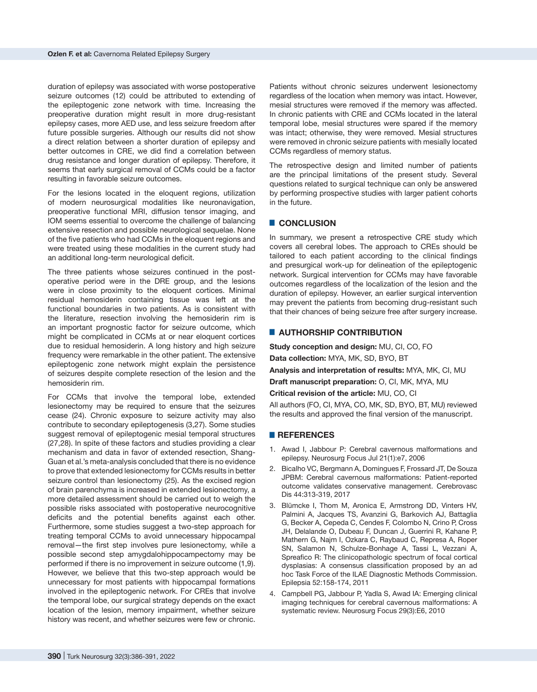duration of epilepsy was associated with worse postoperative seizure outcomes (12) could be attributed to extending of the epileptogenic zone network with time. Increasing the preoperative duration might result in more drug-resistant epilepsy cases, more AED use, and less seizure freedom after future possible surgeries. Although our results did not show a direct relation between a shorter duration of epilepsy and better outcomes in CRE, we did find a correlation between drug resistance and longer duration of epilepsy. Therefore, it seems that early surgical removal of CCMs could be a factor resulting in favorable seizure outcomes.

For the lesions located in the eloquent regions, utilization of modern neurosurgical modalities like neuronavigation, preoperative functional MRI, diffusion tensor imaging, and IOM seems essential to overcome the challenge of balancing extensive resection and possible neurological sequelae. None of the five patients who had CCMs in the eloquent regions and were treated using these modalities in the current study had an additional long-term neurological deficit.

The three patients whose seizures continued in the postoperative period were in the DRE group, and the lesions were in close proximity to the eloquent cortices. Minimal residual hemosiderin containing tissue was left at the functional boundaries in two patients. As is consistent with the literature, resection involving the hemosiderin rim is an important prognostic factor for seizure outcome, which might be complicated in CCMs at or near eloquent cortices due to residual hemosiderin. A long history and high seizure frequency were remarkable in the other patient. The extensive epileptogenic zone network might explain the persistence of seizures despite complete resection of the lesion and the hemosiderin rim.

For CCMs that involve the temporal lobe, extended lesionectomy may be required to ensure that the seizures cease (24). Chronic exposure to seizure activity may also contribute to secondary epileptogenesis (3,27). Some studies suggest removal of epileptogenic mesial temporal structures (27,28). In spite of these factors and studies providing a clear mechanism and data in favor of extended resection, Shang-Guan et al.'s meta-analysis concluded that there is no evidence to prove that extended lesionectomy for CCMs results in better seizure control than lesionectomy (25). As the excised region of brain parenchyma is increased in extended lesionectomy, a more detailed assessment should be carried out to weigh the possible risks associated with postoperative neurocognitive deficits and the potential benefits against each other. Furthermore, some studies suggest a two-step approach for treating temporal CCMs to avoid unnecessary hippocampal removal—the first step involves pure lesionectomy, while a possible second step amygdalohippocampectomy may be performed if there is no improvement in seizure outcome (1,9). However, we believe that this two-step approach would be unnecessary for most patients with hippocampal formations involved in the epileptogenic network. For CREs that involve the temporal lobe, our surgical strategy depends on the exact location of the lesion, memory impairment, whether seizure history was recent, and whether seizures were few or chronic.

Patients without chronic seizures underwent lesionectomy regardless of the location when memory was intact. However, mesial structures were removed if the memory was affected. In chronic patients with CRE and CCMs located in the lateral temporal lobe, mesial structures were spared if the memory was intact; otherwise, they were removed. Mesial structures were removed in chronic seizure patients with mesially located CCMs regardless of memory status.

The retrospective design and limited number of patients are the principal limitations of the present study. Several questions related to surgical technique can only be answered by performing prospective studies with larger patient cohorts in the future.

#### █ **CONCLUSION**

In summary, we present a retrospective CRE study which covers all cerebral lobes. The approach to CREs should be tailored to each patient according to the clinical findings and presurgical work-up for delineation of the epileptogenic network. Surgical intervention for CCMs may have favorable outcomes regardless of the localization of the lesion and the duration of epilepsy. However, an earlier surgical intervention may prevent the patients from becoming drug-resistant such that their chances of being seizure free after surgery increase.

#### █ **AUTHORSHIP CONTRIBUTION**

**Study conception and design:** MU, CI, CO, FO **Data collection:** MYA, MK, SD, BYO, BT **Analysis and interpretation of results:** MYA, MK, CI, MU **Draft manuscript preparation:** O, CI, MK, MYA, MU **Critical revision of the article:** MU, CO, CI All authors (FO, CI, MYA, CO, MK, SD, BYO, BT, MU) reviewed the results and approved the final version of the manuscript.

#### █ **REFERENCES**

- 1. Awad I, Jabbour P: Cerebral cavernous malformations and epilepsy. Neurosurg Focus Jul 21(1):e7, 2006
- 2. Bicalho VC, Bergmann A, Domingues F, Frossard JT, De Souza JPBM: Cerebral cavernous malformations: Patient-reported outcome validates conservative management. Cerebrovasc Dis 44:313-319, 2017
- 3. Blümcke I, Thom M, Aronica E, Armstrong DD, Vinters HV, Palmini A, Jacques TS, Avanzini G, Barkovich AJ, Battaglia G, Becker A, Cepeda C, Cendes F, Colombo N, Crino P, Cross JH, Delalande O, Dubeau F, Duncan J, Guerrini R, Kahane P, Mathern G, Najm I, Ozkara C, Raybaud C, Represa A, Roper SN, Salamon N, Schulze-Bonhage A, Tassi L, Vezzani A, Spreafico R: The clinicopathologic spectrum of focal cortical dysplasias: A consensus classification proposed by an ad hoc Task Force of the ILAE Diagnostic Methods Commission. Epilepsia 52:158-174, 2011
- 4. Campbell PG, Jabbour P, Yadla S, Awad IA: Emerging clinical imaging techniques for cerebral cavernous malformations: A systematic review. Neurosurg Focus 29(3):E6, 2010